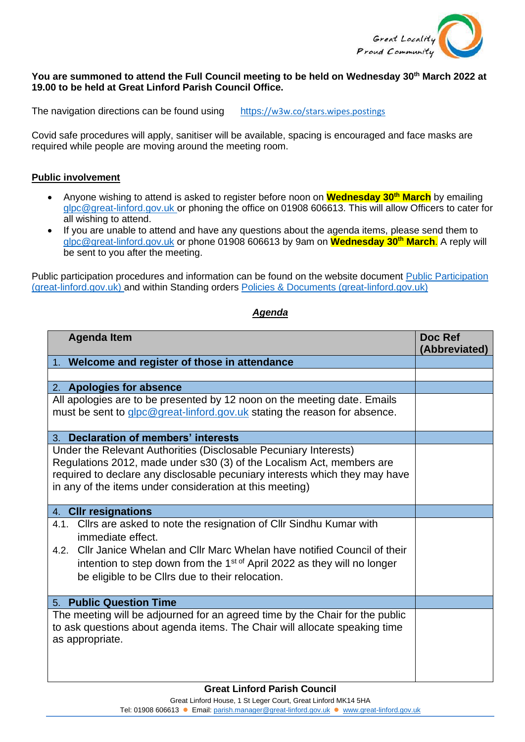

## **You are summoned to attend the Full Council meeting to be held on Wednesday 30th March 2022 at 19.00 to be held at Great Linford Parish Council Office.**

The navigation directions can be found using [https](https://w3w.co/stars.wipes.postings)[://w3w.co/stars.wipes.postings](https://w3w.co/stars.wipes.postings)

Covid safe procedures will apply, sanitiser will be available, spacing is encouraged and face masks are required while people are moving around the meeting room.

## **Public involvement**

- Anyone wishing to attend is asked to register before noon on **Wednesday 30th March** by emailing [glpc@great-linford.gov.uk](mailto:glpc@great-linford.gov.uk) or phoning the office on 01908 606613. This will allow Officers to cater for all wishing to attend.
- If you are unable to attend and have any questions about the agenda items, please send them to [glpc@great-linford.gov.uk](mailto:glpc@great-linford.gov.uk) or phone 01908 606613 by 9am on **Wednesday 30th March**. A reply will be sent to you after the meeting.

Public participation procedures and information can be found on the website document [Public Participation](https://www.great-linford.gov.uk/council-meetings/public-participation/)  [\(great-linford.gov.uk\)](https://www.great-linford.gov.uk/council-meetings/public-participation/) and within Standing orders [Policies & Documents \(great-linford.gov.uk\)](https://www.great-linford.gov.uk/the-parish-council/policies-documents/)

## **Agenda Item Doc Ref Doc Ref Doc Ref Doc Ref Doc Ref Doc Ref Doc Ref Doc Ref (Abbreviated)** 1. **Welcome and register of those in attendance** 2. **Apologies for absence** All apologies are to be presented by 12 noon on the meeting date. Emails must be sent to [glpc@great-linford.gov.uk](mailto:glpc@great-linford.gov.uk) stating the reason for absence. 3. **Declaration of members' interests**  Under the Relevant Authorities (Disclosable Pecuniary Interests) Regulations 2012, made under s30 (3) of the Localism Act, members are required to declare any disclosable pecuniary interests which they may have in any of the items under consideration at this meeting) 4. **Cllr resignations** 4.1. Cllrs are asked to note the resignation of Cllr Sindhu Kumar with immediate effect. 4.2. Cllr Janice Whelan and Cllr Marc Whelan have notified Council of their intention to step down from the  $1<sup>st of</sup>$  April 2022 as they will no longer be eligible to be Cllrs due to their relocation. 5. **Public Question Time** The meeting will be adjourned for an agreed time by the Chair for the public to ask questions about agenda items. The Chair will allocate speaking time as appropriate.

*Agenda*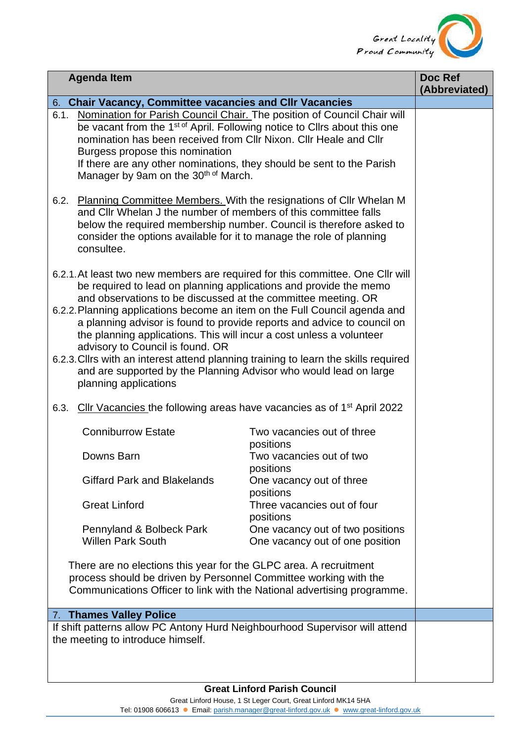

| <b>Agenda Item</b>                                                                                                                                                                                                                                                                                                                                                            |                                                                                                                                                                                                                                                                                                                            |                                                                                                                                                | Doc Ref<br>(Abbreviated) |
|-------------------------------------------------------------------------------------------------------------------------------------------------------------------------------------------------------------------------------------------------------------------------------------------------------------------------------------------------------------------------------|----------------------------------------------------------------------------------------------------------------------------------------------------------------------------------------------------------------------------------------------------------------------------------------------------------------------------|------------------------------------------------------------------------------------------------------------------------------------------------|--------------------------|
| 6. Chair Vacancy, Committee vacancies and CIIr Vacancies                                                                                                                                                                                                                                                                                                                      |                                                                                                                                                                                                                                                                                                                            |                                                                                                                                                |                          |
| 6.1.                                                                                                                                                                                                                                                                                                                                                                          | be vacant from the 1 <sup>st of</sup> April. Following notice to Cllrs about this one<br>nomination has been received from CIIr Nixon. CIIr Heale and CIIr<br>Burgess propose this nomination<br>If there are any other nominations, they should be sent to the Parish<br>Manager by 9am on the 30 <sup>th of</sup> March. | Nomination for Parish Council Chair. The position of Council Chair will                                                                        |                          |
|                                                                                                                                                                                                                                                                                                                                                                               | and CIIr Whelan J the number of members of this committee falls<br>consider the options available for it to manage the role of planning<br>consultee.                                                                                                                                                                      | 6.2. Planning Committee Members. With the resignations of Cllr Whelan M<br>below the required membership number. Council is therefore asked to |                          |
| 6.2.1. At least two new members are required for this committee. One Cllr will<br>be required to lead on planning applications and provide the memo<br>and observations to be discussed at the committee meeting. OR<br>6.2.2. Planning applications become an item on the Full Council agenda and<br>a planning advisor is found to provide reports and advice to council on |                                                                                                                                                                                                                                                                                                                            |                                                                                                                                                |                          |
| the planning applications. This will incur a cost unless a volunteer<br>advisory to Council is found. OR<br>6.2.3. Cllrs with an interest attend planning training to learn the skills required                                                                                                                                                                               |                                                                                                                                                                                                                                                                                                                            |                                                                                                                                                |                          |
| and are supported by the Planning Advisor who would lead on large<br>planning applications                                                                                                                                                                                                                                                                                    |                                                                                                                                                                                                                                                                                                                            |                                                                                                                                                |                          |
| Cllr Vacancies the following areas have vacancies as of 1 <sup>st</sup> April 2022<br>6.3.                                                                                                                                                                                                                                                                                    |                                                                                                                                                                                                                                                                                                                            |                                                                                                                                                |                          |
|                                                                                                                                                                                                                                                                                                                                                                               | <b>Conniburrow Estate</b>                                                                                                                                                                                                                                                                                                  | Two vacancies out of three<br>positions                                                                                                        |                          |
|                                                                                                                                                                                                                                                                                                                                                                               | Downs Barn                                                                                                                                                                                                                                                                                                                 | Two vacancies out of two<br>positions                                                                                                          |                          |
|                                                                                                                                                                                                                                                                                                                                                                               | <b>Giffard Park and Blakelands</b>                                                                                                                                                                                                                                                                                         | One vacancy out of three<br>positions                                                                                                          |                          |
|                                                                                                                                                                                                                                                                                                                                                                               | <b>Great Linford</b>                                                                                                                                                                                                                                                                                                       | Three vacancies out of four<br>positions                                                                                                       |                          |
|                                                                                                                                                                                                                                                                                                                                                                               | Pennyland & Bolbeck Park<br><b>Willen Park South</b>                                                                                                                                                                                                                                                                       | One vacancy out of two positions<br>One vacancy out of one position                                                                            |                          |
| There are no elections this year for the GLPC area. A recruitment<br>process should be driven by Personnel Committee working with the                                                                                                                                                                                                                                         |                                                                                                                                                                                                                                                                                                                            |                                                                                                                                                |                          |
| Communications Officer to link with the National advertising programme.                                                                                                                                                                                                                                                                                                       |                                                                                                                                                                                                                                                                                                                            |                                                                                                                                                |                          |
| 7. Thames Valley Police                                                                                                                                                                                                                                                                                                                                                       |                                                                                                                                                                                                                                                                                                                            |                                                                                                                                                |                          |
| If shift patterns allow PC Antony Hurd Neighbourhood Supervisor will attend<br>the meeting to introduce himself.                                                                                                                                                                                                                                                              |                                                                                                                                                                                                                                                                                                                            |                                                                                                                                                |                          |
|                                                                                                                                                                                                                                                                                                                                                                               |                                                                                                                                                                                                                                                                                                                            |                                                                                                                                                |                          |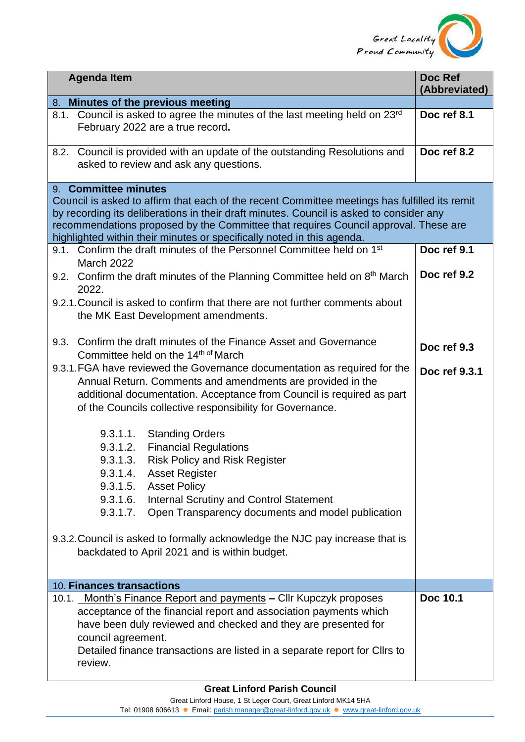

| <b>Agenda Item</b>                                                                                                      | Doc Ref<br>(Abbreviated) |
|-------------------------------------------------------------------------------------------------------------------------|--------------------------|
| 8. Minutes of the previous meeting                                                                                      |                          |
| Council is asked to agree the minutes of the last meeting held on 23rd<br>8.1.<br>February 2022 are a true record.      | Doc ref 8.1              |
| Council is provided with an update of the outstanding Resolutions and<br>8.2.<br>asked to review and ask any questions. | Doc ref 8.2              |
| 9. Committee minutes                                                                                                    |                          |
| Council is asked to affirm that each of the recent Committee meetings has fulfilled its remit                           |                          |
| by recording its deliberations in their draft minutes. Council is asked to consider any                                 |                          |
| recommendations proposed by the Committee that requires Council approval. These are                                     |                          |
| highlighted within their minutes or specifically noted in this agenda.                                                  |                          |
| 9.1. Confirm the draft minutes of the Personnel Committee held on 1 <sup>st</sup><br><b>March 2022</b>                  | Doc ref 9.1              |
| 9.2. Confirm the draft minutes of the Planning Committee held on $8th$ March<br>2022.                                   | Doc ref 9.2              |
| 9.2.1. Council is asked to confirm that there are not further comments about                                            |                          |
| the MK East Development amendments.                                                                                     |                          |
| Confirm the draft minutes of the Finance Asset and Governance<br>9.3.                                                   |                          |
| Committee held on the 14th of March                                                                                     | Doc ref 9.3              |
| 9.3.1. FGA have reviewed the Governance documentation as required for the                                               |                          |
| Annual Return. Comments and amendments are provided in the                                                              | Doc ref 9.3.1            |
| additional documentation. Acceptance from Council is required as part                                                   |                          |
| of the Councils collective responsibility for Governance.                                                               |                          |
|                                                                                                                         |                          |
| 9.3.1.1.<br><b>Standing Orders</b>                                                                                      |                          |
| 9.3.1.2.<br><b>Financial Regulations</b>                                                                                |                          |
| <b>Risk Policy and Risk Register</b><br>9.3.1.3.                                                                        |                          |
| 9.3.1.4.<br><b>Asset Register</b>                                                                                       |                          |
| 9.3.1.5. Asset Policy                                                                                                   |                          |
| 9.3.1.6.<br><b>Internal Scrutiny and Control Statement</b>                                                              |                          |
| 9.3.1.7.<br>Open Transparency documents and model publication                                                           |                          |
|                                                                                                                         |                          |
| 9.3.2. Council is asked to formally acknowledge the NJC pay increase that is                                            |                          |
| backdated to April 2021 and is within budget.                                                                           |                          |
| 10. Finances transactions                                                                                               |                          |
| 10.1. Month's Finance Report and payments - Cllr Kupczyk proposes                                                       | Doc 10.1                 |
| acceptance of the financial report and association payments which                                                       |                          |
| have been duly reviewed and checked and they are presented for                                                          |                          |
| council agreement.                                                                                                      |                          |
| Detailed finance transactions are listed in a separate report for Cllrs to                                              |                          |
| review.                                                                                                                 |                          |
|                                                                                                                         |                          |